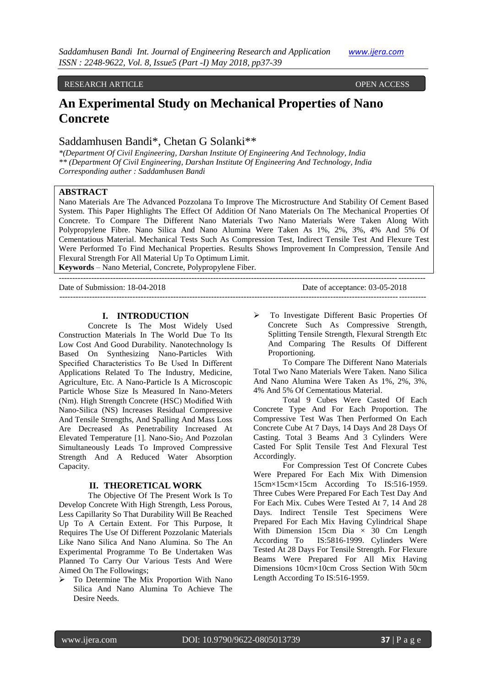### RESEARCH ARTICLE OPEN ACCESS

# **An Experimental Study on Mechanical Properties of Nano Concrete**

# Saddamhusen Bandi\*, Chetan G Solanki\*\*

*\*(Department Of Civil Engineering, Darshan Institute Of Engineering And Technology, India \*\* (Department Of Civil Engineering, Darshan Institute Of Engineering And Technology, India Corresponding auther : Saddamhusen Bandi*

# **ABSTRACT**

Nano Materials Are The Advanced Pozzolana To Improve The Microstructure And Stability Of Cement Based System. This Paper Highlights The Effect Of Addition Of Nano Materials On The Mechanical Properties Of Concrete. To Compare The Different Nano Materials Two Nano Materials Were Taken Along With Polypropylene Fibre. Nano Silica And Nano Alumina Were Taken As 1%, 2%, 3%, 4% And 5% Of Cementatious Material. Mechanical Tests Such As Compression Test, Indirect Tensile Test And Flexure Test Were Performed To Find Mechanical Properties. Results Shows Improvement In Compression, Tensile And Flexural Strength For All Material Up To Optimum Limit.

**Keywords** – Nano Meterial, Concrete, Polypropylene Fiber.

--------------------------------------------------------------------------------------------------------------------------------------- Date of Submission: 18-04-2018 Date of acceptance: 03-05-2018 ---------------------------------------------------------------------------------------------------------------------------------------

### **I. INTRODUCTION**

Concrete Is The Most Widely Used Construction Materials In The World Due To Its Low Cost And Good Durability. Nanotechnology Is Based On Synthesizing Nano-Particles With Specified Characteristics To Be Used In Different Applications Related To The Industry, Medicine, Agriculture, Etc. A Nano-Particle Is A Microscopic Particle Whose Size Is Measured In Nano-Meters (Nm). High Strength Concrete (HSC) Modified With Nano-Silica (NS) Increases Residual Compressive And Tensile Strengths, And Spalling And Mass Loss Are Decreased As Penetrability Increased At Elevated Temperature [1]. Nano-Sio<sub>2</sub> And Pozzolan Simultaneously Leads To Improved Compressive Strength And A Reduced Water Absorption Capacity.

# **II. THEORETICAL WORK**

The Objective Of The Present Work Is To Develop Concrete With High Strength, Less Porous, Less Capillarity So That Durability Will Be Reached Up To A Certain Extent. For This Purpose, It Requires The Use Of Different Pozzolanic Materials Like Nano Silica And Nano Alumina. So The An Experimental Programme To Be Undertaken Was Planned To Carry Our Various Tests And Were Aimed On The Followings;

 $\triangleright$  To Determine The Mix Proportion With Nano Silica And Nano Alumina To Achieve The Desire Needs.

 To Investigate Different Basic Properties Of Concrete Such As Compressive Strength, Splitting Tensile Strength, Flexural Strength Etc And Comparing The Results Of Different Proportioning.

To Compare The Different Nano Materials Total Two Nano Materials Were Taken. Nano Silica And Nano Alumina Were Taken As 1%, 2%, 3%, 4% And 5% Of Cementatious Material.

Total 9 Cubes Were Casted Of Each Concrete Type And For Each Proportion. The Compressive Test Was Then Performed On Each Concrete Cube At 7 Days, 14 Days And 28 Days Of Casting. Total 3 Beams And 3 Cylinders Were Casted For Split Tensile Test And Flexural Test Accordingly.

For Compression Test Of Concrete Cubes Were Prepared For Each Mix With Dimension 15cm×15cm×15cm According To IS:516-1959. Three Cubes Were Prepared For Each Test Day And For Each Mix. Cubes Were Tested At 7, 14 And 28 Days. Indirect Tensile Test Specimens Were Prepared For Each Mix Having Cylindrical Shape With Dimension 15cm Dia  $\times$  30 Cm Length According To IS:5816-1999. Cylinders Were Tested At 28 Days For Tensile Strength. For Flexure Beams Were Prepared For All Mix Having Dimensions 10cm×10cm Cross Section With 50cm Length According To IS:516-1959.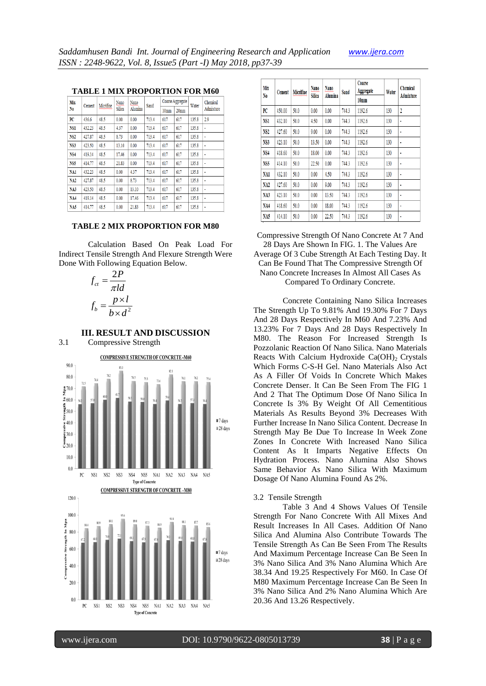| <b>TABLE 1 MIX PROPORTION FOR M60</b> |  |  |  |  |  |  |  |  |
|---------------------------------------|--|--|--|--|--|--|--|--|
|                                       |  |  |  |  |  |  |  |  |

| Mix             | Cement | Micrifine | Nano   | Nano    | Sand  |                  | Coarse Aggregate | Water | Chemical<br>Admixture |  |
|-----------------|--------|-----------|--------|---------|-------|------------------|------------------|-------|-----------------------|--|
| No.             |        |           | Silica | Alumina |       | 10 <sub>mm</sub> | 20 <sub>mm</sub> |       |                       |  |
| PC              | 436.6  | 48.5      | 0.00   | 0.00    | 713.4 | 617              | 617              | 135.8 | 2.9                   |  |
| NS <sub>1</sub> | 432.23 | 48.5      | 4.37   | 0.00    | 713.4 | 617              | 617              | 135.8 | ٠                     |  |
| NS <sub>2</sub> | 427.87 | 48.5      | 8.73   | 0.00    | 713.4 | 617              | 617              | 135.8 | ٠                     |  |
| <b>NS3</b>      | 423.50 | 48.5      | 13.10  | 0.00    | 713.4 | 617              | 617              | 135.8 | ۰                     |  |
| NS4             | 419.14 | 48.5      | 17.46  | 0.00    | 713.4 | 617              | 617              | 135.8 | ٠                     |  |
| NS <sub>5</sub> | 414.77 | 48.5      | 21.83  | 0.00    | 713.4 | 617              | 617              | 135.8 | ٠                     |  |
| <b>NA1</b>      | 432.23 | 48.5      | 0.00   | 4.37    | 713.4 | 617              | 617              | 135.8 | ٠                     |  |
| NA2             | 427.87 | 48.5      | 0.00   | 8.73    | 713.4 | 617              | 617              | 135.8 | ۰                     |  |
| NA3             | 423.50 | 48.5      | 0.00   | 13.10   | 713.4 | 617              | 617              | 135.8 | ٠                     |  |
| <b>NA4</b>      | 419.14 | 48.5      | 0.00   | 17.46   | 713.4 | 617              | 617              | 135.8 | ٠                     |  |
| NA5             | 414.77 | 48.5      | 0.00   | 21.83   | 713.4 | 617              | 617              | 135.8 | ٠                     |  |

# **TABLE 2 MIX PROPORTION FOR M80**

Calculation Based On Peak Load For Indirect Tensile Strength And Flexure Strength Were Done With Following Equation Below.

$$
f_{ct} = \frac{2P}{\pi ld}
$$

$$
f_b = \frac{p \times l}{b \times d^2}
$$

# **III. RESULT AND DISCUSSION**

3.1 Compressive Strength



| Mix<br>N0       | Cement | Micrifine | Nano<br><b>Silica</b> | <b>Nano</b><br>Alumina | Sand  | Coarse<br>Aggregate<br>10 <sub>mm</sub> | Water | <b>Chemical</b><br>Admixture |
|-----------------|--------|-----------|-----------------------|------------------------|-------|-----------------------------------------|-------|------------------------------|
| PC              | 450.00 | 50.0      | 0.00                  | 0.00                   | 744.3 | 1192.6                                  | 130   | 2                            |
| NS1             | 432.10 | 50.0      | 4.50                  | 0.00                   | 744.3 | 1192.6                                  | 130   | ۰                            |
| <b>NS2</b>      | 427.60 | 50.0      | 9.00                  | 0.00                   | 744.3 | 1192.6                                  | 130   | ٠                            |
| NS3             | 423.10 | 50.0      | 13.50                 | 0.00                   | 744.3 | 1192.6                                  | 130   | ٠                            |
| NS4             | 418.60 | 50.0      | 18.00                 | 0.00                   | 744.3 | 1192.6                                  | 130   | ٠                            |
| <b>NS5</b>      | 414.10 | 50.0      | 22.50                 | 0.00                   | 744.3 | 1192.6                                  | 130   | ۰                            |
| NA1             | 432.10 | 50.0      | 0.00                  | 4.50                   | 744.3 | 1192.6                                  | 130   | ٠                            |
| NA <sub>2</sub> | 427.60 | 50.0      | 0.00                  | 9.00                   | 744.3 | 1192.6                                  | 130   | ٠                            |
| NA3             | 423.10 | 50.0      | 0.00                  | 13.50                  | 744.3 | 1192.6                                  | 130   | ۰                            |
| NA4             | 418.60 | 50.0      | 0.00                  | 18.00                  | 744.3 | 1192.6                                  | 130   | ۰                            |
| NA5             | 414.10 | 50.0      | 0.00                  | 22.50                  | 744.3 | 1192.6                                  | 130   | ٠                            |

Compressive Strength Of Nano Concrete At 7 And 28 Days Are Shown In FIG. 1. The Values Are Average Of 3 Cube Strength At Each Testing Day. It Can Be Found That The Compressive Strength Of Nano Concrete Increases In Almost All Cases As Compared To Ordinary Concrete.

Concrete Containing Nano Silica Increases The Strength Up To 9.81% And 19.30% For 7 Days And 28 Days Respectively In M60 And 7.23% And 13.23% For 7 Days And 28 Days Respectively In M80. The Reason For Increased Strength Is Pozzolanic Reaction Of Nano Silica. Nano Materials Reacts With Calcium Hydroxide Ca $(OH)$ <sub>2</sub> Crystals Which Forms C-S-H Gel. Nano Materials Also Act As A Filler Of Voids In Concrete Which Makes Concrete Denser. It Can Be Seen From The FIG 1 And 2 That The Optimum Dose Of Nano Silica In Concrete Is 3% By Weight Of All Cementitious Materials As Results Beyond 3% Decreases With Further Increase In Nano Silica Content. Decrease In Strength May Be Due To Increase In Week Zone Zones In Concrete With Increased Nano Silica Content As It Imparts Negative Effects On Hydration Process. Nano Alumina Also Shows Same Behavior As Nano Silica With Maximum Dosage Of Nano Alumina Found As 2%.

### 3.2 Tensile Strength

Table 3 And 4 Shows Values Of Tensile Strength For Nano Concrete With All Mixes And Result Increases In All Cases. Addition Of Nano Silica And Alumina Also Contribute Towards The Tensile Strength As Can Be Seen From The Results And Maximum Percentage Increase Can Be Seen In 3% Nano Silica And 3% Nano Alumina Which Are 38.34 And 19.25 Respectively For M60. In Case Of M80 Maximum Percentage Increase Can Be Seen In 3% Nano Silica And 2% Nano Alumina Which Are 20.36 And 13.26 Respectively.